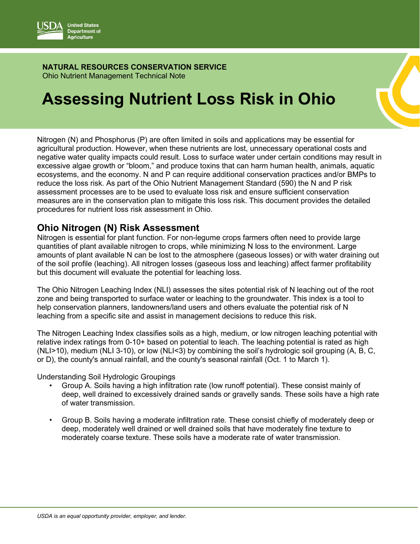

## **NATURAL RESOURCES CONSERVATION SERVICE** Ohio Nutrient Management Technical Note

# **Assessing Nutrient Loss Risk in Ohio**

Nitrogen (N) and Phosphorus (P) are often limited in soils and applications may be essential for agricultural production. However, when these nutrients are lost, unnecessary operational costs and negative water quality impacts could result. Loss to surface water under certain conditions may result in excessive algae growth or "bloom," and produce toxins that can harm human health, animals, aquatic ecosystems, and the economy. N and P can require additional conservation practices and/or BMPs to reduce the loss risk. As part of the Ohio Nutrient Management Standard (590) the N and P risk assessment processes are to be used to evaluate loss risk and ensure sufficient conservation measures are in the conservation plan to mitigate this loss risk. This document provides the detailed procedures for nutrient loss risk assessment in Ohio.

## **Ohio Nitrogen (N) Risk Assessment**

Nitrogen is essential for plant function. For non-legume crops farmers often need to provide large quantities of plant available nitrogen to crops, while minimizing N loss to the environment. Large amounts of plant available N can be lost to the atmosphere (gaseous losses) or with water draining out of the soil profile (leaching). All nitrogen losses (gaseous loss and leaching) affect farmer profitability but this document will evaluate the potential for leaching loss.

The Ohio Nitrogen Leaching Index (NLI) assesses the sites potential risk of N leaching out of the root zone and being transported to surface water or leaching to the groundwater. This index is a tool to help conservation planners, landowners/land users and others evaluate the potential risk of N leaching from a specific site and assist in management decisions to reduce this risk.

The Nitrogen Leaching Index classifies soils as a high, medium, or low nitrogen leaching potential with relative index ratings from 0-10+ based on potential to leach. The leaching potential is rated as high (NLI>10), medium (NLI 3-10), or low (NLI<3) by combining the soil's hydrologic soil grouping (A, B, C, or D), the county's annual rainfall, and the county's seasonal rainfall (Oct. 1 to March 1).

Understanding Soil Hydrologic Groupings

- Group A. Soils having a high infiltration rate (low runoff potential). These consist mainly of deep, well drained to excessively drained sands or gravelly sands. These soils have a high rate of water transmission.
- Group B. Soils having a moderate infiltration rate. These consist chiefly of moderately deep or deep, moderately well drained or well drained soils that have moderately fine texture to moderately coarse texture. These soils have a moderate rate of water transmission.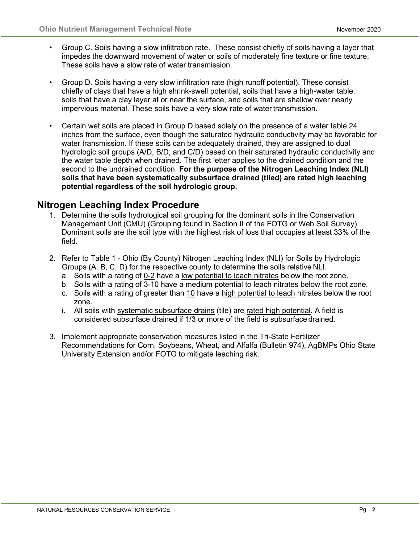- Group C. Soils having a slow infiltration rate. These consist chiefly of soils having a layer that impedes the downward movement of water or soils of moderately fine texture or fine texture. These soils have a slow rate of water transmission.
- Group D. Soils having a very slow infiltration rate (high runoff potential). These consist chiefly of clays that have a high shrink-swell potential, soils that have a high-water table, soils that have a clay layer at or near the surface, and soils that are shallow over nearly impervious material. These soils have a very slow rate of water transmission.
- Certain wet soils are placed in Group D based solely on the presence of a water table 24 inches from the surface, even though the saturated hydraulic conductivity may be favorable for water transmission. If these soils can be adequately drained, they are assigned to dual hydrologic soil groups (A/D, B/D, and C/D) based on their saturated hydraulic conductivity and the water table depth when drained. The first letter applies to the drained condition and the second to the undrained condition. **For the purpose of the Nitrogen Leaching Index (NLI) soils that have been systematically subsurface drained (tiled) are rated high leaching potential regardless of the soil hydrologic group.**

## **Nitrogen Leaching Index Procedure**

- 1. Determine the soils hydrological soil grouping for the dominant soils in the Conservation Management Unit (CMU) (Grouping found in Section II of the FOTG or Web Soil Survey). Dominant soils are the soil type with the highest risk of loss that occupies at least 33% of the field.
- 2. Refer to Table 1 Ohio (By County) Nitrogen Leaching Index (NLI) for Soils by Hydrologic Groups (A, B, C, D) for the respective county to determine the soils relative NLI.
	- a. Soils with a rating of 0-2 have a low potential to leach nitrates below the root zone.
	- b. Soils with a rating of 3-10 have a medium potential to leach nitrates below the root zone.
	- c. Soils with a rating of greater than 10 have a high potential to leach nitrates below the root zone.
	- i. All soils with systematic subsurface drains (tile) are rated high potential. A field is considered subsurface drained if 1/3 or more of the field is subsurface drained.
- 3. Implement appropriate conservation measures listed in the Tri-State Fertilizer Recommendations for Corn, Soybeans, Wheat, and Alfalfa (Bulletin 974), AgBMPs Ohio State University Extension and/or FOTG to mitigate leaching risk.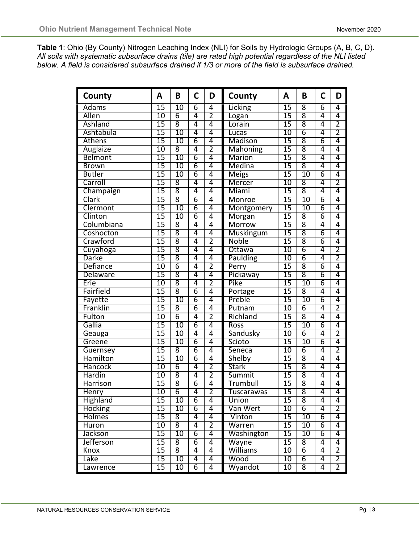**Table 1**: Ohio (By County) Nitrogen Leaching Index (NLI) for Soils by Hydrologic Groups (A, B, C, D). *All soils with systematic subsurface drains (tile) are rated high potential regardless of the NLI listed below. A field is considered subsurface drained if 1/3 or more of the field is subsurface drained.*

| County           | A               | B                  | C              | D              | County           | A               | B               | C              | D              |
|------------------|-----------------|--------------------|----------------|----------------|------------------|-----------------|-----------------|----------------|----------------|
| Adams            | $\overline{15}$ | 10                 | $\overline{6}$ | 4              | Licking          | $\overline{15}$ | 8               | $\overline{6}$ | 4              |
| <b>Allen</b>     | $\overline{10}$ | 6                  | 4              | $\overline{2}$ | Logan            | $\overline{15}$ | $\overline{8}$  | 4              | 4              |
| Ashland          | 15              | $\overline{8}$     | 4              | 4              | Lorain           | $\overline{15}$ | $\overline{8}$  | 4              | $\overline{2}$ |
| Ashtabula        | 15              | $\overline{10}$    | 4              | 4              | Lucas            | 10              | $\overline{6}$  | 4              | $\overline{2}$ |
| Athens           | $\overline{15}$ | 10                 | $\overline{6}$ | 4              | Madison          | $\overline{15}$ | $\overline{8}$  | $\overline{6}$ | 4              |
| Auglaize         | $\overline{10}$ | $\overline{8}$     | 4              | 2              | <b>Mahoning</b>  | $\overline{15}$ | $\overline{8}$  | 4              | 4              |
| <b>Belmont</b>   | $\overline{15}$ | $\overline{10}$    | 6              | 4              | <b>Marion</b>    | $\overline{15}$ | $\overline{8}$  | 4              | 4              |
| <b>Brown</b>     | 15              | 10                 | $\overline{6}$ | 4              | Medina           | 15              | $\overline{8}$  | 4              | 4              |
| <b>Butler</b>    | $\overline{15}$ | $\overline{10}$    | 6              | 4              | <b>Meigs</b>     | $\overline{15}$ | 10              | 6              | 4              |
| Carroll          | 15              | 8                  | 4              | 4              | Mercer           | 10              | 8               | 4              | $\overline{2}$ |
| Champaign        | $\overline{15}$ | 8                  | 4              | $\overline{4}$ | Miami            | $\overline{15}$ | 8               | 4              | 4              |
| Clark            | 15              | $\overline{8}$     | $\overline{6}$ | 4              | Monroe           | 15              | $\overline{10}$ | $\overline{6}$ | 4              |
| Clermont         | $\overline{15}$ | $\overline{10}$    | $\overline{6}$ | 4              | Montgomery       | $\overline{15}$ | 10              | $\overline{6}$ | 4              |
| Clinton          | 15              | $\overline{10}$    | 6              | 4              | Morgan           | 15              | 8               | $\overline{6}$ | 4              |
| Columbiana       | 15              | 8                  | 4              | 4              | Morrow           | 15              | $\overline{8}$  | 4              | 4              |
| Coshocton        | $\overline{15}$ | $\overline{\bf 8}$ | 4              | 4              | <b>Muskingum</b> | $\overline{15}$ | $\overline{8}$  | 6              | $\overline{4}$ |
| Crawford         | $\overline{15}$ | $\overline{8}$     | 4              | $\overline{2}$ | <b>Noble</b>     | 15              | $\overline{8}$  | 6              | 4              |
| Cuyahoga         | $\overline{15}$ | 8                  | 4              | 4              | Ottawa           | 10              | 6               | 4              | $\overline{2}$ |
| <b>Darke</b>     | $\overline{15}$ | 8                  | 4              | $\overline{4}$ | Paulding         | $\overline{10}$ | $\overline{6}$  | 4              | 2              |
| Defiance         | 10              | 6                  | 4              | $\overline{2}$ | Perry            | 15              | $\overline{8}$  | $\overline{6}$ | 4              |
| <b>Delaware</b>  | $\overline{15}$ | $\overline{8}$     | 4              | 4              | Pickaway         | $\overline{15}$ | $\overline{8}$  | 6              | $\overline{4}$ |
| Erie             | 10              | $\overline{8}$     | 4              | $\overline{2}$ | Pike             | 15              | $\overline{10}$ | $\overline{6}$ | 4              |
| Fairfield        | 15              | 8                  | 6              | 4              | Portage          | 15              | 8               | 4              | 4              |
| Fayette          | $\overline{15}$ | 10                 | $\overline{6}$ | 4              | Preble           | $\overline{15}$ | 10              | 6              | 4              |
| Franklin         | 15              | 8                  | 6              | 4              | Putnam           | 10              | $\overline{6}$  | 4              | $\overline{2}$ |
| Fulton           | $\overline{10}$ | 6                  | 4              | 2              | Richland         | $\overline{15}$ | 8               | 4              | 4              |
| Gallia           | $\overline{15}$ | $\overline{10}$    | 6              | 4              | Ross             | $\overline{15}$ | $\overline{10}$ | 6              | 4              |
| Geauga           | 15              | $\overline{10}$    | 4              | 4              | Sandusky         | 10              | $\overline{6}$  | 4              | $\overline{2}$ |
| Greene           | 15              | $\overline{10}$    | $\overline{6}$ | 4              | Scioto           | 15              | $\overline{10}$ | $\overline{6}$ | 4              |
| Guernsey         | $\overline{15}$ | $\overline{8}$     | $\overline{6}$ | 4              | Seneca           | $\overline{10}$ | 6               | $\overline{4}$ | $\overline{2}$ |
| Hamilton         | $\overline{15}$ | $\overline{10}$    | 6              | $\overline{4}$ | Shelby           | $\overline{15}$ | 8               | 4              | 4              |
| Hancock          | 10              | 6                  | 4              | $\overline{2}$ | <b>Stark</b>     | 15              | $\overline{8}$  | 4              | 4              |
| Hardin           | 10              | 8                  | 4              | $\overline{2}$ | Summit           | 15              | $\overline{8}$  | 4              | 4              |
| <b>Harrison</b>  | $\overline{15}$ | 8                  | 6              | 4              | <b>Trumbull</b>  | $\overline{15}$ | $\overline{8}$  | 4              | 4              |
| <b>Henry</b>     | 10              | 6                  | 4              | $\overline{2}$ | Tuscarawas       | 15              | 8               | 4              | 4              |
| Highland         | 15              | $\overline{10}$    | 6              | 4              | Union            | 15              | 8               | 4              | 4              |
| Hocking          | $\overline{15}$ | $\overline{10}$    | 6              | 4              | Van Wert         | 10              | $\overline{6}$  | $\overline{4}$ | 2              |
| <b>Holmes</b>    | $\overline{15}$ | 8                  | 4              | 4              | Vinton           | $15\,$          | 10              | $\overline{6}$ | 4              |
| Huron            | 10              | $\overline{8}$     | 4              | $\overline{2}$ | Warren           | $\overline{15}$ | 10              | $\overline{6}$ | 4              |
| Jackson          | $\overline{15}$ | $\overline{10}$    | $\overline{6}$ | $\overline{4}$ | Washington       | $\overline{15}$ | 10              | $\overline{6}$ | 4              |
| <b>Jefferson</b> | 15              | 8                  | 6              | 4              | Wayne            | 15              | $\overline{8}$  | 4              | 4              |
| Knox             | 15              | 8                  | 4              | 4              | <b>Williams</b>  | 10              | 6               | 4              | 2              |
| Lake             | $\overline{15}$ | 10                 | 4              | 4              | Wood             | 10              | $\overline{6}$  | 4              | 2              |
| Lawrence         | $\overline{15}$ | $\overline{10}$    | 6              | 4              | Wyandot          | $\overline{10}$ | 8               | $\overline{4}$ | 2              |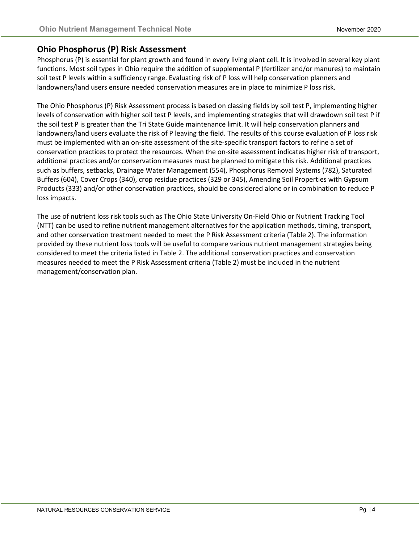## **Ohio Phosphorus (P) Risk Assessment**

Phosphorus (P) is essential for plant growth and found in every living plant cell. It is involved in several key plant functions. Most soil types in Ohio require the addition of supplemental P (fertilizer and/or manures) to maintain soil test P levels within a sufficiency range. Evaluating risk of P loss will help conservation planners and landowners/land users ensure needed conservation measures are in place to minimize P loss risk.

The Ohio Phosphorus (P) Risk Assessment process is based on classing fields by soil test P, implementing higher levels of conservation with higher soil test P levels, and implementing strategies that will drawdown soil test P if the soil test P is greater than the Tri State Guide maintenance limit. It will help conservation planners and landowners/land users evaluate the risk of P leaving the field. The results of this course evaluation of P loss risk must be implemented with an on-site assessment of the site-specific transport factors to refine a set of conservation practices to protect the resources. When the on-site assessment indicates higher risk of transport, additional practices and/or conservation measures must be planned to mitigate this risk. Additional practices such as buffers, setbacks, Drainage Water Management (554), Phosphorus Removal Systems (782), Saturated Buffers (604), Cover Crops (340), crop residue practices (329 or 345), Amending Soil Properties with Gypsum Products (333) and/or other conservation practices, should be considered alone or in combination to reduce P loss impacts.

The use of nutrient loss risk tools such as The Ohio State University On-Field Ohio or Nutrient Tracking Tool (NTT) can be used to refine nutrient management alternatives for the application methods, timing, transport, and other conservation treatment needed to meet the P Risk Assessment criteria (Table 2). The information provided by these nutrient loss tools will be useful to compare various nutrient management strategies being considered to meet the criteria listed in Table 2. The additional conservation practices and conservation measures needed to meet the P Risk Assessment criteria (Table 2) must be included in the nutrient management/conservation plan.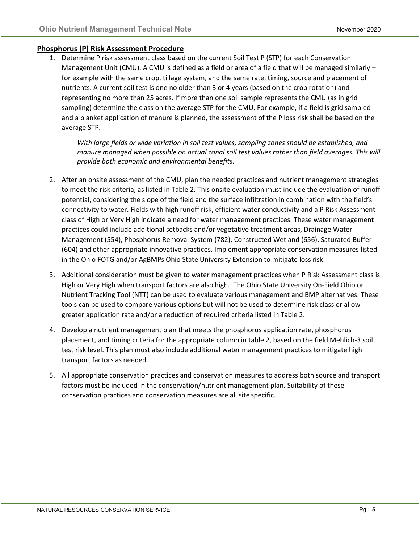## **Phosphorus (P) Risk Assessment Procedure**

1. Determine P risk assessment class based on the current Soil Test P (STP) for each Conservation Management Unit (CMU). A CMU is defined as a field or area of a field that will be managed similarly for example with the same crop, tillage system, and the same rate, timing, source and placement of nutrients. A current soil test is one no older than 3 or 4 years (based on the crop rotation) and representing no more than 25 acres. If more than one soil sample represents the CMU (as in grid sampling) determine the class on the average STP for the CMU. For example, if a field is grid sampled and a blanket application of manure is planned, the assessment of the P loss risk shall be based on the average STP.

*With large fields or wide variation in soil test values, sampling zones should be established, and manure managed when possible on actual zonal soil test values rather than field averages. This will provide both economic and environmental benefits.*

- 2. After an onsite assessment of the CMU, plan the needed practices and nutrient management strategies to meet the risk criteria, as listed in Table 2. This onsite evaluation must include the evaluation of runoff potential, considering the slope of the field and the surface infiltration in combination with the field's connectivity to water. Fields with high runoff risk, efficient water conductivity and a P Risk Assessment class of High or Very High indicate a need for water management practices. These water management practices could include additional setbacks and/or vegetative treatment areas, Drainage Water Management (554), Phosphorus Removal System (782), Constructed Wetland (656), Saturated Buffer (604) and other appropriate innovative practices. Implement appropriate conservation measures listed in the Ohio FOTG and/or AgBMPs Ohio State University Extension to mitigate lossrisk.
- 3. Additional consideration must be given to water management practices when P Risk Assessment class is High or Very High when transport factors are also high. The Ohio State University On-Field Ohio or Nutrient Tracking Tool (NTT) can be used to evaluate various management and BMP alternatives. These tools can be used to compare various options but will not be used to determine risk class or allow greater application rate and/or a reduction of required criteria listed in Table 2.
- 4. Develop a nutrient management plan that meets the phosphorus application rate, phosphorus placement, and timing criteria for the appropriate column in table 2, based on the field Mehlich-3 soil test risk level. This plan must also include additional water management practices to mitigate high transport factors as needed.
- 5. All appropriate conservation practices and conservation measures to address both source and transport factors must be included in the conservation/nutrient management plan. Suitability of these conservation practices and conservation measures are all site specific.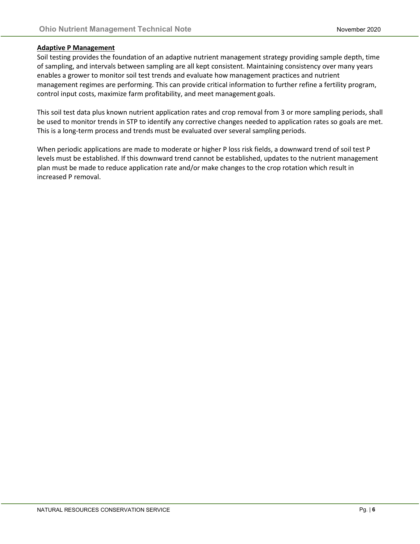#### **Adaptive P Management**

Soil testing provides the foundation of an adaptive nutrient management strategy providing sample depth, time of sampling, and intervals between sampling are all kept consistent. Maintaining consistency over many years enables a grower to monitor soil test trends and evaluate how management practices and nutrient management regimes are performing. This can provide critical information to further refine a fertility program, control input costs, maximize farm profitability, and meet management goals.

This soil test data plus known nutrient application rates and crop removal from 3 or more sampling periods, shall be used to monitor trends in STP to identify any corrective changes needed to application rates so goals are met. This is a long-term process and trends must be evaluated over several sampling periods.

When periodic applications are made to moderate or higher P loss risk fields, a downward trend of soil test P levels must be established. If this downward trend cannot be established, updates to the nutrient management plan must be made to reduce application rate and/or make changes to the crop rotation which result in increased P removal.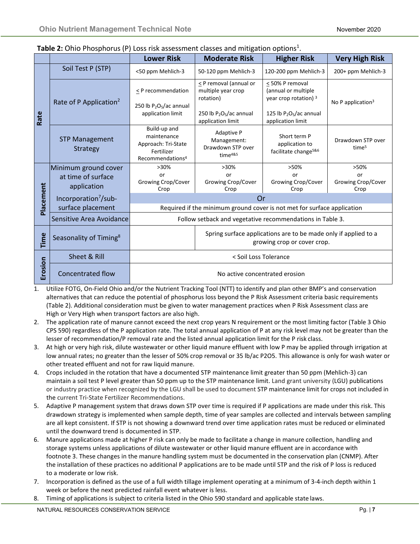|           |                                                           | <b>Lower Risk</b>                                                                                | <b>Moderate Risk</b>                                                                                  | <b>Higher Risk</b>                                                                             | <b>Very High Risk</b>                    |  |  |
|-----------|-----------------------------------------------------------|--------------------------------------------------------------------------------------------------|-------------------------------------------------------------------------------------------------------|------------------------------------------------------------------------------------------------|------------------------------------------|--|--|
| Rate      | Soil Test P (STP)                                         | <50 ppm Mehlich-3                                                                                | 50-120 ppm Mehlich-3                                                                                  | 120-200 ppm Mehlich-3                                                                          | 200+ ppm Mehlich-3                       |  |  |
|           | Rate of P Application <sup>2</sup>                        | $\leq$ P recommendation<br>250 lb $P_2O_5/ac$ annual<br>application limit                        | < P removal (annual or<br>multiple year crop<br>rotation)<br>250 lb $P_2O_5/ac$ annual                | < 50% P removal<br>(annual or multiple<br>year crop rotation) $3$<br>125 lb $P_2O_5/ac$ annual | No P application $3$                     |  |  |
|           | <b>STP Management</b><br>Strategy                         | Build-up and<br>maintenance<br>Approach: Tri-State<br>Fertilizer<br>Recommendations <sup>4</sup> | application limit<br><b>Adaptive P</b><br>Management:<br>Drawdown STP over<br>time <sup>4&amp;5</sup> | application limit<br>Short term P<br>application to<br>facilitate change <sup>5&amp;6</sup>    | Drawdown STP over<br>time <sup>5</sup>   |  |  |
|           | Minimum ground cover<br>at time of surface<br>application | $>30\%$<br>or<br>Growing Crop/Cover<br>Crop                                                      | $>30\%$<br>or<br>Growing Crop/Cover<br>Crop                                                           | >50%<br>or<br>Growing Crop/Cover<br>Crop                                                       | >50%<br>or<br>Growing Crop/Cover<br>Crop |  |  |
| Placement | Incorporation <sup>7</sup> /sub-                          | Or                                                                                               |                                                                                                       |                                                                                                |                                          |  |  |
|           | surface placement                                         |                                                                                                  | Required if the minimum ground cover is not met for surface application                               |                                                                                                |                                          |  |  |
|           | Sensitive Area Avoidance                                  | Follow setback and vegetative recommendations in Table 3.                                        |                                                                                                       |                                                                                                |                                          |  |  |
| Time      | Seasonality of Timing <sup>8</sup>                        | Spring surface applications are to be made only if applied to a<br>growing crop or cover crop.   |                                                                                                       |                                                                                                |                                          |  |  |
|           | Sheet & Rill                                              | < Soil Loss Tolerance                                                                            |                                                                                                       |                                                                                                |                                          |  |  |
| Erosion   | <b>Concentrated flow</b>                                  | No active concentrated erosion                                                                   |                                                                                                       |                                                                                                |                                          |  |  |

## Table 2: Ohio Phosphorus (P) Loss risk assessment classes and mitigation options<sup>1</sup>.

- 1. Utilize FOTG, On-Field Ohio and/or the Nutrient Tracking Tool (NTT) to identify and plan other BMP's and conservation alternatives that can reduce the potential of phosphorus loss beyond the P Risk Assessment criteria basic requirements (Table 2). Additional consideration must be given to water management practices when P Risk Assessment class are High or Very High when transport factors are also high.
- 2. The application rate of manure cannot exceed the next crop years N requirement or the most limiting factor (Table 3 Ohio CPS 590) regardless of the P application rate. The total annual application of P at any risk level may not be greater than the lesser of recommendation/P removal rate and the listed annual application limit for the P risk class.
- 3. At high or very high risk, dilute wastewater or other liquid manure effluent with low P may be applied through irrigation at low annual rates; no greater than the lesser of 50% crop removal or 35 lb/ac P2O5. This allowance is only for wash water or other treated effluent and not for raw liquid manure.
- 4. Crops included in the rotation that have a documented STP maintenance limit greater than 50 ppm (Mehlich-3) can maintain a soil test P level greater than 50 ppm up to the STP maintenance limit. Land grant university (LGU) publications or industry practice when recognized by the LGU shall be used to document STP maintenance limit for crops not included in the current Tri-State Fertilizer Recommendations.
- 5. Adaptive P management system that draws down STP over time is required if P applications are made under this risk. This drawdown strategy is implemented when sample depth, time of year samples are collected and intervals between sampling are all kept consistent. If STP is not showing a downward trend over time application rates must be reduced or eliminated until the downward trend is documented in STP.
- 6. Manure applications made at higher P risk can only be made to facilitate a change in manure collection, handling and storage systems unless applications of dilute wastewater or other liquid manure effluent are in accordance with footnote 3. These changes in the manure handling system must be documented in the conservation plan (CNMP). After the installation of these practices no additional P applications are to be made until STP and the risk of P loss is reduced to a moderate or low risk.
- 7. Incorporation is defined as the use of a full width tillage implement operating at a minimum of 3-4-inch depth within 1 week or before the next predicted rainfall event whatever is less.
- 8. Timing of applications is subject to criteria listed in the Ohio 590 standard and applicable state laws.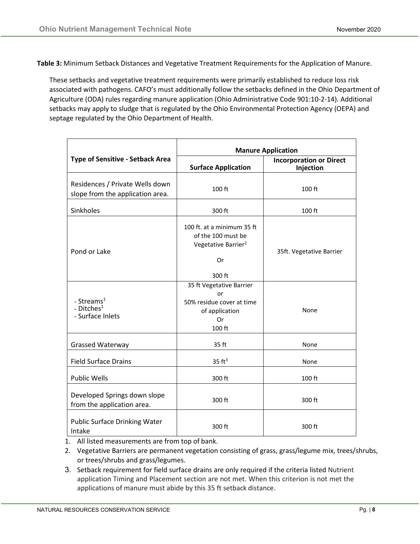**Table 3:** Minimum Setback Distances and Vegetative Treatment Requirements for the Application of Manure.

These setbacks and vegetative treatment requirements were primarily established to reduce loss risk associated with pathogens. CAFO's must additionally follow the setbacks defined in the Ohio Department of Agriculture (ODA) rules regarding manure application (Ohio Administrative Code 901:10-2-14). Additional setbacks may apply to sludge that is regulated by the Ohio Environmental Protection Agency (OEPA) and septage regulated by the Ohio Department of Health.

|                                                                      | <b>Manure Application</b>                                                                           |                                             |  |  |
|----------------------------------------------------------------------|-----------------------------------------------------------------------------------------------------|---------------------------------------------|--|--|
| <b>Type of Sensitive - Setback Area</b>                              | <b>Surface Application</b>                                                                          | <b>Incorporation or Direct</b><br>Injection |  |  |
| Residences / Private Wells down<br>slope from the application area.  | 100 ft                                                                                              | 100 ft                                      |  |  |
| Sinkholes                                                            | 300 ft                                                                                              | 100 ft                                      |  |  |
| Pond or Lake                                                         | 100 ft. at a minimum 35 ft<br>of the 100 must be<br>Vegetative Barrier <sup>2</sup><br>0r<br>300 ft | 35ft. Vegetative Barrier                    |  |  |
| - Streams <sup>1</sup><br>- Ditches <sup>1</sup><br>- Surface Inlets | 35 ft Vegetative Barrier<br>or<br>50% residue cover at time<br>of application<br>0r<br>100 ft       | None                                        |  |  |
| <b>Grassed Waterway</b>                                              | 35 ft                                                                                               | None                                        |  |  |
| <b>Field Surface Drains</b>                                          | 35 ft <sup>3</sup>                                                                                  | None                                        |  |  |
| <b>Public Wells</b>                                                  | 300 ft                                                                                              | 100 ft                                      |  |  |
| Developed Springs down slope<br>from the application area.           | 300 ft                                                                                              | 300 ft                                      |  |  |
| <b>Public Surface Drinking Water</b><br>Intake                       | 300 ft                                                                                              | 300 ft                                      |  |  |

1. All listed measurements are from top of bank.

- 2. Vegetative Barriers are permanent vegetation consisting of grass, grass/legume mix, trees/shrubs, or trees/shrubs and grass/legumes.
- 3. Setback requirement for field surface drains are only required if the criteria listed Nutrient application Timing and Placement section are not met. When this criterion is not met the applications of manure must abide by this 35 ft setback distance.